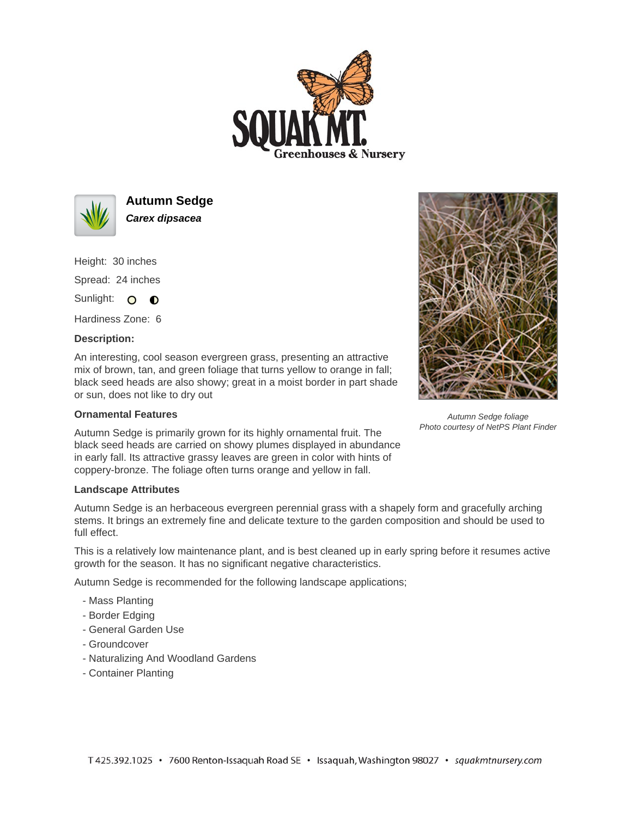



**Autumn Sedge Carex dipsacea**

Height: 30 inches

Spread: 24 inches

Sunlight: O **O** 

Hardiness Zone: 6

## **Description:**

An interesting, cool season evergreen grass, presenting an attractive mix of brown, tan, and green foliage that turns yellow to orange in fall; black seed heads are also showy; great in a moist border in part shade or sun, does not like to dry out

## **Ornamental Features**

Autumn Sedge is primarily grown for its highly ornamental fruit. The black seed heads are carried on showy plumes displayed in abundance in early fall. Its attractive grassy leaves are green in color with hints of coppery-bronze. The foliage often turns orange and yellow in fall.

## **Landscape Attributes**

Autumn Sedge is an herbaceous evergreen perennial grass with a shapely form and gracefully arching stems. It brings an extremely fine and delicate texture to the garden composition and should be used to full effect.

This is a relatively low maintenance plant, and is best cleaned up in early spring before it resumes active growth for the season. It has no significant negative characteristics.

Autumn Sedge is recommended for the following landscape applications;

- Mass Planting
- Border Edging
- General Garden Use
- Groundcover
- Naturalizing And Woodland Gardens
- Container Planting



Autumn Sedge foliage Photo courtesy of NetPS Plant Finder